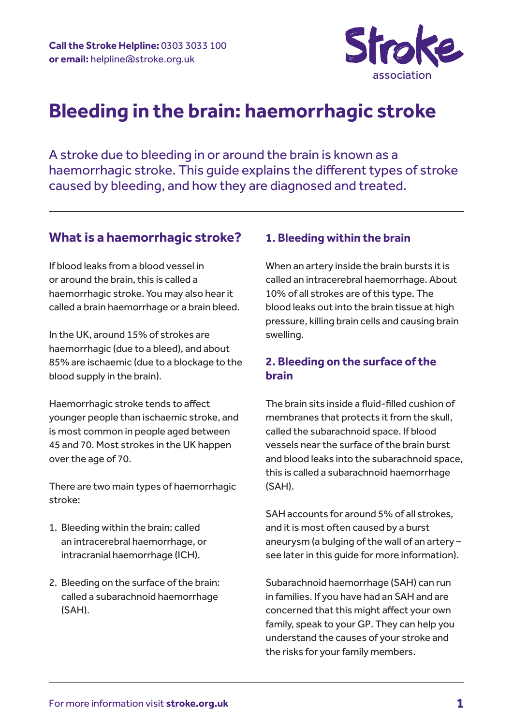

# **Bleeding in the brain: haemorrhagic stroke**

A stroke due to bleeding in or around the brain is known as a haemorrhagic stroke. This guide explains the different types of stroke caused by bleeding, and how they are diagnosed and treated.

# **What is a haemorrhagic stroke?**

If blood leaks from a blood vessel in or around the brain, this is called a haemorrhagic stroke. You may also hear it called a brain haemorrhage or a brain bleed.

In the UK, around 15% of strokes are haemorrhagic (due to a bleed), and about 85% are ischaemic (due to a blockage to the blood supply in the brain).

Haemorrhagic stroke tends to affect younger people than ischaemic stroke, and is most common in people aged between 45 and 70. Most strokes in the UK happen over the age of 70.

There are two main types of haemorrhagic stroke:

- 1. Bleeding within the brain: called an intracerebral haemorrhage, or intracranial haemorrhage (ICH).
- 2. Bleeding on the surface of the brain: called a subarachnoid haemorrhage (SAH).

# **1. Bleeding within the brain**

When an artery inside the brain bursts it is called an intracerebral haemorrhage. About 10% of all strokes are of this type. The blood leaks out into the brain tissue at high pressure, killing brain cells and causing brain swelling.

### **2. Bleeding on the surface of the brain**

The brain sits inside a fluid-filled cushion of membranes that protects it from the skull, called the subarachnoid space. If blood vessels near the surface of the brain burst and blood leaks into the subarachnoid space, this is called a subarachnoid haemorrhage (SAH).

SAH accounts for around 5% of all strokes, and it is most often caused by a burst aneurysm (a bulging of the wall of an artery – see later in this guide for more information).

Subarachnoid haemorrhage (SAH) can run in families. If you have had an SAH and are concerned that this might affect your own family, speak to your GP. They can help you understand the causes of your stroke and the risks for your family members.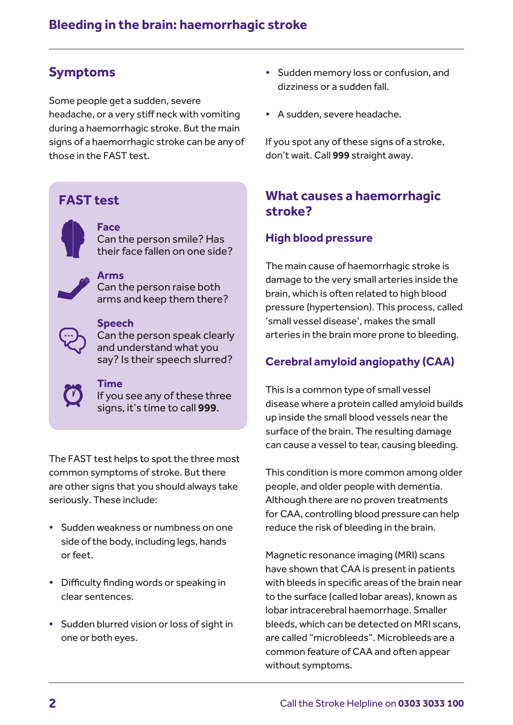# **Symptoms**

Some people get a sudden, severe headache, or a very stiff neck with vomiting during a haemorrhagic stroke. But the main signs of a haemorrhagic stroke can be any of those in the FAST test.

# **FAST test**



#### **Face** Can the person smile? Has their face fallen on one side?

**Arms**  Can the person raise both arms and keep them there?

#### **Speech**

Can the person speak clearly and understand what you say? Is their speech slurred?



### **Time**

If you see any of these three signs, it's time to call **999**.

The FAST test helps to spot the three most common symptoms of stroke. But there are other signs that you should always take seriously. These include:

- **•** Sudden weakness or numbness on one side of the body, including legs, hands or feet.
- **•** Difficulty finding words or speaking in clear sentences.
- **•** Sudden blurred vision or loss of sight in one or both eyes.
- **•** Sudden memory loss or confusion, and dizziness or a sudden fall.
- **•** A sudden, severe headache.

If you spot any of these signs of a stroke, don't wait. Call **999** straight away.

# **What causes a haemorrhagic stroke?**

# **High blood pressure**

The main cause of haemorrhagic stroke is damage to the very small arteries inside the brain, which is often related to high blood pressure (hypertension). This process, called 'small vessel disease', makes the small arteries in the brain more prone to bleeding.

# **Cerebral amyloid angiopathy (CAA)**

This is a common type of small vessel disease where a protein called amyloid builds up inside the small blood vessels near the surface of the brain. The resulting damage can cause a vessel to tear, causing bleeding.

This condition is more common among older people, and older people with dementia. Although there are no proven treatments for CAA, controlling blood pressure can help reduce the risk of bleeding in the brain.

Magnetic resonance imaging (MRI) scans have shown that CAA is present in patients with bleeds in specific areas of the brain near to the surface (called lobar areas), known as lobar intracerebral haemorrhage. Smaller bleeds, which can be detected on MRI scans, are called "microbleeds". Microbleeds are a common feature of CAA and often appear without symptoms.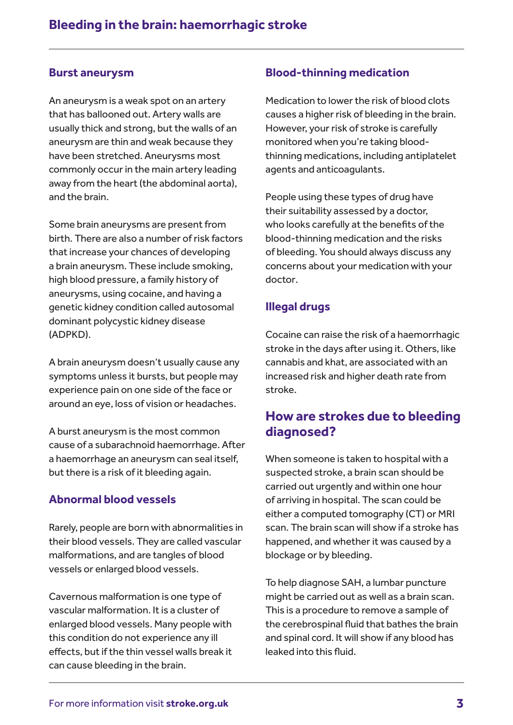#### **Burst aneurysm**

An aneurysm is a weak spot on an artery that has ballooned out. Artery walls are usually thick and strong, but the walls of an aneurysm are thin and weak because they have been stretched. Aneurysms most commonly occur in the main artery leading away from the heart (the abdominal aorta), and the brain.

Some brain aneurysms are present from birth. There are also a number of risk factors that increase your chances of developing a brain aneurysm. These include smoking, high blood pressure, a family history of aneurysms, using cocaine, and having a genetic kidney condition called autosomal dominant polycystic kidney disease (ADPKD).

A brain aneurysm doesn't usually cause any symptoms unless it bursts, but people may experience pain on one side of the face or around an eye, loss of vision or headaches.

A burst aneurysm is the most common cause of a subarachnoid haemorrhage. After a haemorrhage an aneurysm can seal itself, but there is a risk of it bleeding again.

### **Abnormal blood vessels**

Rarely, people are born with abnormalities in their blood vessels. They are called vascular malformations, and are tangles of blood vessels or enlarged blood vessels.

Cavernous malformation is one type of vascular malformation. It is a cluster of enlarged blood vessels. Many people with this condition do not experience any ill effects, but if the thin vessel walls break it can cause bleeding in the brain.

### **Blood-thinning medication**

Medication to lower the risk of blood clots causes a higher risk of bleeding in the brain. However, your risk of stroke is carefully monitored when you're taking bloodthinning medications, including antiplatelet agents and anticoagulants.

People using these types of drug have their suitability assessed by a doctor, who looks carefully at the benefits of the blood-thinning medication and the risks of bleeding. You should always discuss any concerns about your medication with your doctor.

### **Illegal drugs**

Cocaine can raise the risk of a haemorrhagic stroke in the days after using it. Others, like cannabis and khat, are associated with an increased risk and higher death rate from stroke.

# **How are strokes due to bleeding diagnosed?**

When someone is taken to hospital with a suspected stroke, a brain scan should be carried out urgently and within one hour of arriving in hospital. The scan could be either a computed tomography (CT) or MRI scan. The brain scan will show if a stroke has happened, and whether it was caused by a blockage or by bleeding.

To help diagnose SAH, a lumbar puncture might be carried out as well as a brain scan. This is a procedure to remove a sample of the cerebrospinal fluid that bathes the brain and spinal cord. It will show if any blood has leaked into this fluid.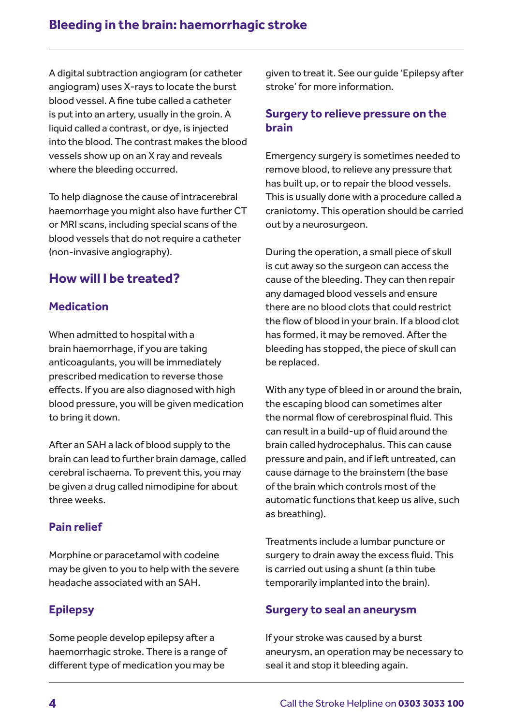A digital subtraction angiogram (or catheter angiogram) uses X-rays to locate the burst blood vessel. A fine tube called a catheter is put into an artery, usually in the groin. A liquid called a contrast, or dye, is injected into the blood. The contrast makes the blood vessels show up on an X ray and reveals where the bleeding occurred.

To help diagnose the cause of intracerebral haemorrhage you might also have further CT or MRI scans, including special scans of the blood vessels that do not require a catheter (non-invasive angiography).

# **How will I be treated?**

### **Medication**

When admitted to hospital with a brain haemorrhage, if you are taking anticoagulants, you will be immediately prescribed medication to reverse those effects. If you are also diagnosed with high blood pressure, you will be given medication to bring it down.

After an SAH a lack of blood supply to the brain can lead to further brain damage, called cerebral ischaema. To prevent this, you may be given a drug called nimodipine for about three weeks.

# **Pain relief**

Morphine or paracetamol with codeine may be given to you to help with the severe headache associated with an SAH.

# **Epilepsy**

Some people develop epilepsy after a haemorrhagic stroke. There is a range of different type of medication you may be

given to treat it. See our guide 'Epilepsy after stroke' for more information.

### **Surgery to relieve pressure on the brain**

Emergency surgery is sometimes needed to remove blood, to relieve any pressure that has built up, or to repair the blood vessels. This is usually done with a procedure called a craniotomy. This operation should be carried out by a neurosurgeon.

During the operation, a small piece of skull is cut away so the surgeon can access the cause of the bleeding. They can then repair any damaged blood vessels and ensure there are no blood clots that could restrict the flow of blood in your brain. If a blood clot has formed, it may be removed. After the bleeding has stopped, the piece of skull can be replaced.

With any type of bleed in or around the brain, the escaping blood can sometimes alter the normal flow of cerebrospinal fluid. This can result in a build-up of fluid around the brain called hydrocephalus. This can cause pressure and pain, and if left untreated, can cause damage to the brainstem (the base of the brain which controls most of the automatic functions that keep us alive, such as breathing).

Treatments include a lumbar puncture or surgery to drain away the excess fluid. This is carried out using a shunt (a thin tube temporarily implanted into the brain).

### **Surgery to seal an aneurysm**

If your stroke was caused by a burst aneurysm, an operation may be necessary to seal it and stop it bleeding again.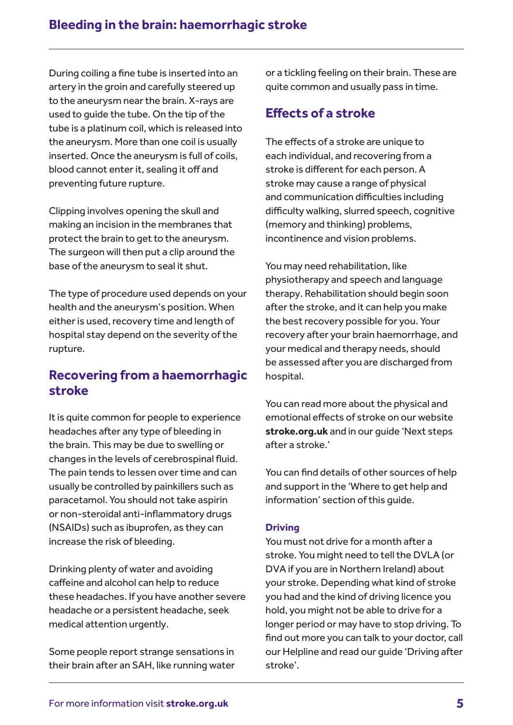During coiling a fine tube is inserted into an artery in the groin and carefully steered up to the aneurysm near the brain. X-rays are used to guide the tube. On the tip of the tube is a platinum coil, which is released into the aneurysm. More than one coil is usually inserted. Once the aneurysm is full of coils, blood cannot enter it, sealing it off and preventing future rupture.

Clipping involves opening the skull and making an incision in the membranes that protect the brain to get to the aneurysm. The surgeon will then put a clip around the base of the aneurysm to seal it shut.

The type of procedure used depends on your health and the aneurysm's position. When either is used, recovery time and length of hospital stay depend on the severity of the rupture.

# **Recovering from a haemorrhagic stroke**

It is quite common for people to experience headaches after any type of bleeding in the brain. This may be due to swelling or changes in the levels of cerebrospinal fluid. The pain tends to lessen over time and can usually be controlled by painkillers such as paracetamol. You should not take aspirin or non-steroidal anti-inflammatory drugs (NSAIDs) such as ibuprofen, as they can increase the risk of bleeding.

Drinking plenty of water and avoiding caffeine and alcohol can help to reduce these headaches. If you have another severe headache or a persistent headache, seek medical attention urgently.

Some people report strange sensations in their brain after an SAH, like running water or a tickling feeling on their brain. These are quite common and usually pass in time.

# **Effects of a stroke**

The effects of a stroke are unique to each individual, and recovering from a stroke is different for each person. A stroke may cause a range of physical and communication difficulties including difficulty walking, slurred speech, cognitive (memory and thinking) problems, incontinence and vision problems.

You may need rehabilitation, like physiotherapy and speech and language therapy. Rehabilitation should begin soon after the stroke, and it can help you make the best recovery possible for you. Your recovery after your brain haemorrhage, and your medical and therapy needs, should be assessed after you are discharged from hospital.

You can read more about the physical and emotional effects of stroke on our website **stroke.org.uk** and in our guide 'Next steps after a stroke.'

You can find details of other sources of help and support in the 'Where to get help and information' section of this guide.

#### **Driving**

You must not drive for a month after a stroke. You might need to tell the DVLA (or DVA if you are in Northern Ireland) about your stroke. Depending what kind of stroke you had and the kind of driving licence you hold, you might not be able to drive for a longer period or may have to stop driving. To find out more you can talk to your doctor, call our Helpline and read our guide 'Driving after stroke'.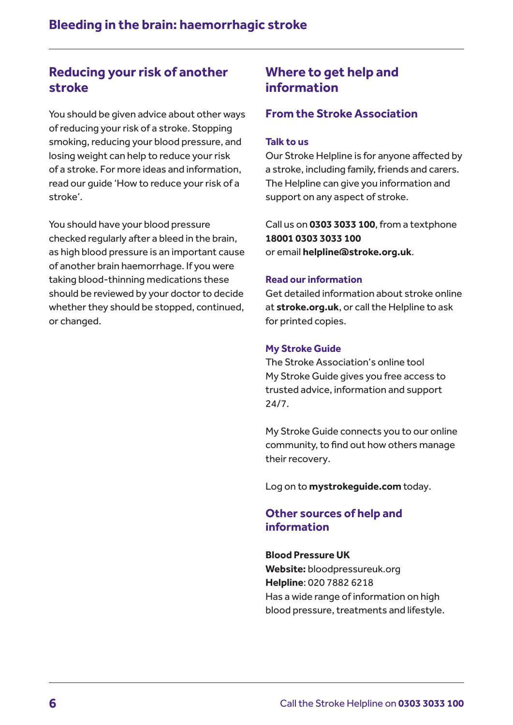# **Reducing your risk of another stroke**

You should be given advice about other ways of reducing your risk of a stroke. Stopping smoking, reducing your blood pressure, and losing weight can help to reduce your risk of a stroke. For more ideas and information, read our guide 'How to reduce your risk of a stroke'.

You should have your blood pressure checked regularly after a bleed in the brain, as high blood pressure is an important cause of another brain haemorrhage. If you were taking blood-thinning medications these should be reviewed by your doctor to decide whether they should be stopped, continued, or changed.

# **Where to get help and information**

### **From the Stroke Association**

#### **Talk to us**

Our Stroke Helpline is for anyone affected by a stroke, including family, friends and carers. The Helpline can give you information and support on any aspect of stroke.

Call us on **0303 3033 100**, from a textphone **18001 0303 3033 100** or email **helpline@stroke.org.uk**.

#### **Read our information**

Get detailed information about stroke online at **stroke.org.uk**, or call the Helpline to ask for printed copies.

#### **My Stroke Guide**

The Stroke Association's online tool My Stroke Guide gives you free access to trusted advice, information and support 24/7.

My Stroke Guide connects you to our online community, to find out how others manage their recovery.

Log on to **mystrokeguide.com** today.

### **Other sources of help and information**

#### **Blood Pressure UK**

**Website:** bloodpressureuk.org **Helpline**: 020 7882 6218 Has a wide range of information on high blood pressure, treatments and lifestyle.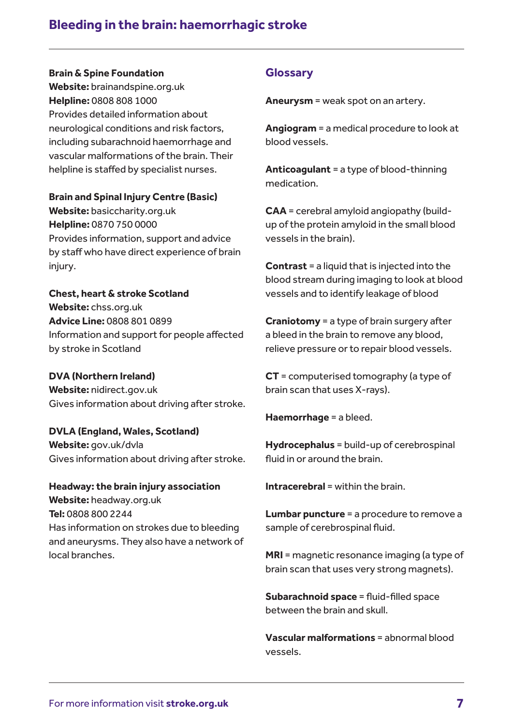# **Bleeding in the brain: haemorrhagic stroke**

#### **Brain & Spine Foundation**

**Website:** brainandspine.org.uk **Helpline:** 0808 808 1000 Provides detailed information about neurological conditions and risk factors, including subarachnoid haemorrhage and vascular malformations of the brain. Their helpline is staffed by specialist nurses.

#### **Brain and Spinal Injury Centre (Basic)**

**Website:** basiccharity.org.uk **Helpline:** 0870 750 0000 Provides information, support and advice by staff who have direct experience of brain injury.

**Chest, heart & stroke Scotland Website:** chss.org.uk **Advice Line:** 0808 801 0899 Information and support for people affected by stroke in Scotland

#### **DVA (Northern Ireland)**

**Website:** nidirect.gov.uk Gives information about driving after stroke.

### **DVLA (England, Wales, Scotland) Website:** gov.uk/dvla Gives information about driving after stroke.

**Headway: the brain injury association Website:** headway.org.uk **Tel:** 0808 800 2244 Has information on strokes due to bleeding and aneurysms. They also have a network of local branches.

### **Glossary**

**Aneurysm** = weak spot on an artery.

**Angiogram** = a medical procedure to look at blood vessels.

**Anticoagulant** = a type of blood-thinning medication.

**CAA** = cerebral amyloid angiopathy (buildup of the protein amyloid in the small blood vessels in the brain).

**Contrast** = a liquid that is injected into the blood stream during imaging to look at blood vessels and to identify leakage of blood

**Craniotomy** = a type of brain surgery after a bleed in the brain to remove any blood, relieve pressure or to repair blood vessels.

**CT** = computerised tomography (a type of brain scan that uses X-rays).

**Haemorrhage** = a bleed.

**Hydrocephalus** = build-up of cerebrospinal fluid in or around the brain.

**Intracerebral** = within the brain.

**Lumbar puncture** = a procedure to remove a sample of cerebrospinal fluid.

**MRI** = magnetic resonance imaging (a type of brain scan that uses very strong magnets).

**Subarachnoid space** = fluid-filled space between the brain and skull.

**Vascular malformations** = abnormal blood vessels.